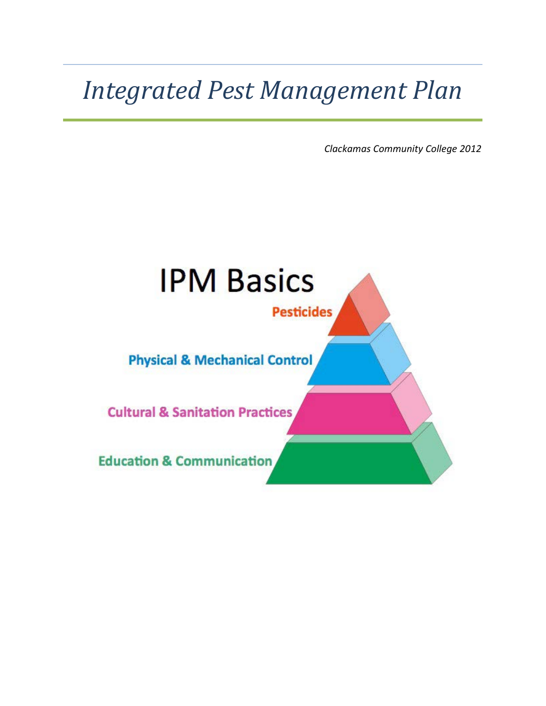# *Integrated Pest Management Plan*

*Clackamas Community College 2012*

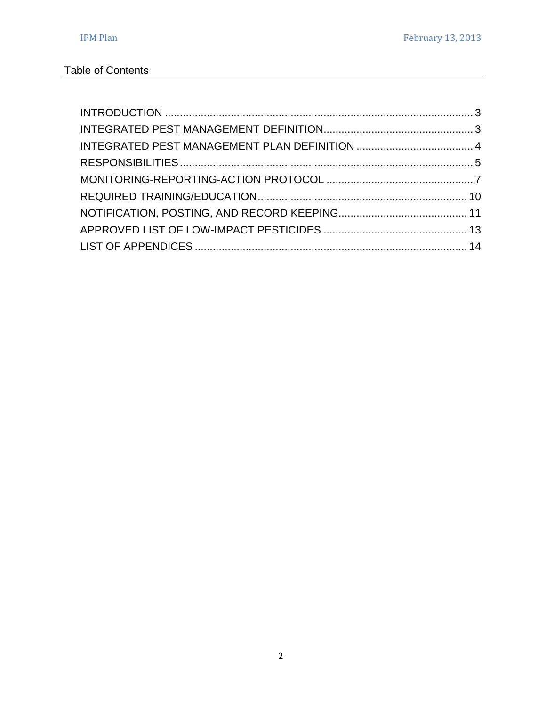# Table of Contents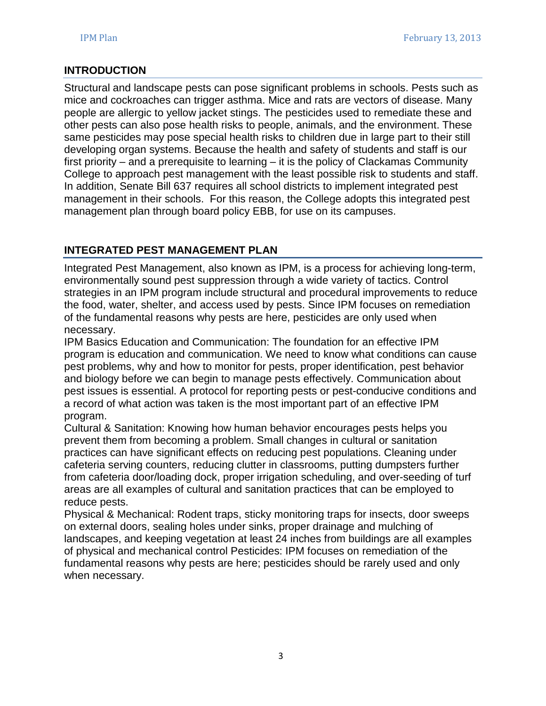## <span id="page-2-0"></span>**INTRODUCTION**

Structural and landscape pests can pose significant problems in schools. Pests such as mice and cockroaches can trigger asthma. Mice and rats are vectors of disease. Many people are allergic to yellow jacket stings. The pesticides used to remediate these and other pests can also pose health risks to people, animals, and the environment. These same pesticides may pose special health risks to children due in large part to their still developing organ systems. Because the health and safety of students and staff is our first priority – and a prerequisite to learning – it is the policy of Clackamas Community College to approach pest management with the least possible risk to students and staff. In addition, Senate Bill 637 requires all school districts to implement integrated pest management in their schools. For this reason, the College adopts this integrated pest management plan through board policy EBB, for use on its campuses.

## <span id="page-2-1"></span>**INTEGRATED PEST MANAGEMENT PLAN**

Integrated Pest Management, also known as IPM, is a process for achieving long-term, environmentally sound pest suppression through a wide variety of tactics. Control strategies in an IPM program include structural and procedural improvements to reduce the food, water, shelter, and access used by pests. Since IPM focuses on remediation of the fundamental reasons why pests are here, pesticides are only used when necessary.

IPM Basics Education and Communication: The foundation for an effective IPM program is education and communication. We need to know what conditions can cause pest problems, why and how to monitor for pests, proper identification, pest behavior and biology before we can begin to manage pests effectively. Communication about pest issues is essential. A protocol for reporting pests or pest-conducive conditions and a record of what action was taken is the most important part of an effective IPM program.

Cultural & Sanitation: Knowing how human behavior encourages pests helps you prevent them from becoming a problem. Small changes in cultural or sanitation practices can have significant effects on reducing pest populations. Cleaning under cafeteria serving counters, reducing clutter in classrooms, putting dumpsters further from cafeteria door/loading dock, proper irrigation scheduling, and over-seeding of turf areas are all examples of cultural and sanitation practices that can be employed to reduce pests.

Physical & Mechanical: Rodent traps, sticky monitoring traps for insects, door sweeps on external doors, sealing holes under sinks, proper drainage and mulching of landscapes, and keeping vegetation at least 24 inches from buildings are all examples of physical and mechanical control Pesticides: IPM focuses on remediation of the fundamental reasons why pests are here; pesticides should be rarely used and only when necessary.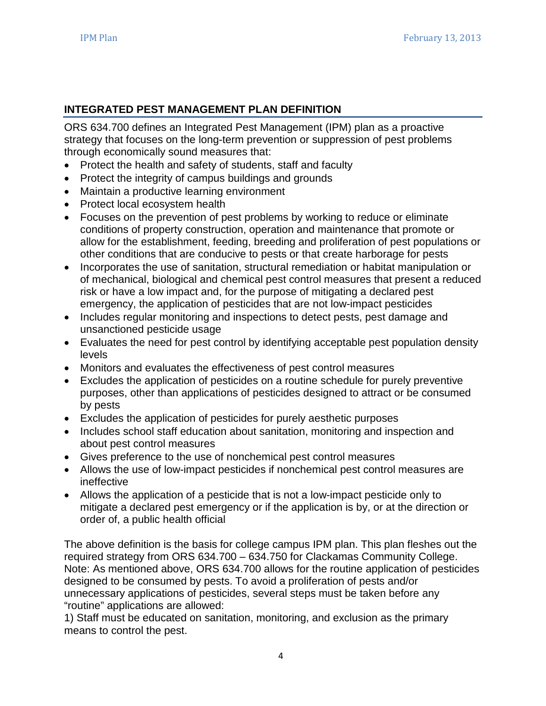## <span id="page-3-0"></span>**INTEGRATED PEST MANAGEMENT PLAN DEFINITION**

ORS 634.700 defines an Integrated Pest Management (IPM) plan as a proactive strategy that focuses on the long-term prevention or suppression of pest problems through economically sound measures that:

- Protect the health and safety of students, staff and faculty
- Protect the integrity of campus buildings and grounds
- Maintain a productive learning environment
- Protect local ecosystem health
- Focuses on the prevention of pest problems by working to reduce or eliminate conditions of property construction, operation and maintenance that promote or allow for the establishment, feeding, breeding and proliferation of pest populations or other conditions that are conducive to pests or that create harborage for pests
- Incorporates the use of sanitation, structural remediation or habitat manipulation or of mechanical, biological and chemical pest control measures that present a reduced risk or have a low impact and, for the purpose of mitigating a declared pest emergency, the application of pesticides that are not low-impact pesticides
- Includes regular monitoring and inspections to detect pests, pest damage and unsanctioned pesticide usage
- Evaluates the need for pest control by identifying acceptable pest population density levels
- Monitors and evaluates the effectiveness of pest control measures
- Excludes the application of pesticides on a routine schedule for purely preventive purposes, other than applications of pesticides designed to attract or be consumed by pests
- Excludes the application of pesticides for purely aesthetic purposes
- Includes school staff education about sanitation, monitoring and inspection and about pest control measures
- Gives preference to the use of nonchemical pest control measures
- Allows the use of low-impact pesticides if nonchemical pest control measures are ineffective
- Allows the application of a pesticide that is not a low-impact pesticide only to mitigate a declared pest emergency or if the application is by, or at the direction or order of, a public health official

The above definition is the basis for college campus IPM plan. This plan fleshes out the required strategy from ORS 634.700 – 634.750 for Clackamas Community College. Note: As mentioned above, ORS 634.700 allows for the routine application of pesticides designed to be consumed by pests. To avoid a proliferation of pests and/or unnecessary applications of pesticides, several steps must be taken before any "routine" applications are allowed:

1) Staff must be educated on sanitation, monitoring, and exclusion as the primary means to control the pest.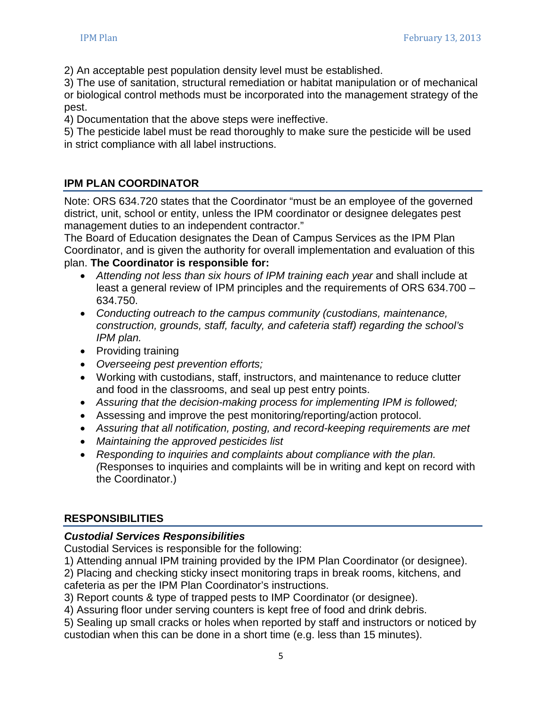2) An acceptable pest population density level must be established.

3) The use of sanitation, structural remediation or habitat manipulation or of mechanical or biological control methods must be incorporated into the management strategy of the pest.

4) Documentation that the above steps were ineffective.

5) The pesticide label must be read thoroughly to make sure the pesticide will be used in strict compliance with all label instructions.

# **IPM PLAN COORDINATOR**

Note: ORS 634.720 states that the Coordinator "must be an employee of the governed district, unit, school or entity, unless the IPM coordinator or designee delegates pest management duties to an independent contractor."

The Board of Education designates the Dean of Campus Services as the IPM Plan Coordinator, and is given the authority for overall implementation and evaluation of this plan. **The Coordinator is responsible for:**

- *Attending not less than six hours of IPM training each year* and shall include at least a general review of IPM principles and the requirements of ORS 634.700 – 634.750.
- *Conducting outreach to the campus community (custodians, maintenance, construction, grounds, staff, faculty, and cafeteria staff) regarding the school's IPM plan.*
- Providing training
- *Overseeing pest prevention efforts;*
- Working with custodians, staff, instructors, and maintenance to reduce clutter and food in the classrooms, and seal up pest entry points.
- *Assuring that the decision-making process for implementing IPM is followed;*
- Assessing and improve the pest monitoring/reporting/action protocol.
- *Assuring that all notification, posting, and record-keeping requirements are met*
- *Maintaining the approved pesticides list*
- *Responding to inquiries and complaints about compliance with the plan. (*Responses to inquiries and complaints will be in writing and kept on record with the Coordinator.)

# **RESPONSIBILITIES**

# *Custodial Services Responsibilities*

Custodial Services is responsible for the following:

1) Attending annual IPM training provided by the IPM Plan Coordinator (or designee).

2) Placing and checking sticky insect monitoring traps in break rooms, kitchens, and cafeteria as per the IPM Plan Coordinator's instructions.

3) Report counts & type of trapped pests to IMP Coordinator (or designee).

4) Assuring floor under serving counters is kept free of food and drink debris.

5) Sealing up small cracks or holes when reported by staff and instructors or noticed by custodian when this can be done in a short time (e.g. less than 15 minutes).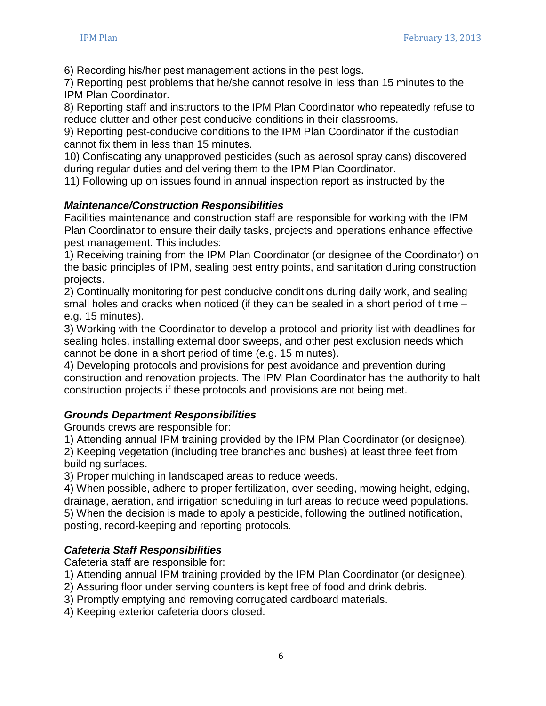6) Recording his/her pest management actions in the pest logs.

7) Reporting pest problems that he/she cannot resolve in less than 15 minutes to the IPM Plan Coordinator.

8) Reporting staff and instructors to the IPM Plan Coordinator who repeatedly refuse to reduce clutter and other pest-conducive conditions in their classrooms.

9) Reporting pest-conducive conditions to the IPM Plan Coordinator if the custodian cannot fix them in less than 15 minutes.

10) Confiscating any unapproved pesticides (such as aerosol spray cans) discovered during regular duties and delivering them to the IPM Plan Coordinator.

11) Following up on issues found in annual inspection report as instructed by the

## *Maintenance/Construction Responsibilities*

Facilities maintenance and construction staff are responsible for working with the IPM Plan Coordinator to ensure their daily tasks, projects and operations enhance effective pest management. This includes:

1) Receiving training from the IPM Plan Coordinator (or designee of the Coordinator) on the basic principles of IPM, sealing pest entry points, and sanitation during construction projects.

2) Continually monitoring for pest conducive conditions during daily work, and sealing small holes and cracks when noticed (if they can be sealed in a short period of time – e.g. 15 minutes).

3) Working with the Coordinator to develop a protocol and priority list with deadlines for sealing holes, installing external door sweeps, and other pest exclusion needs which cannot be done in a short period of time (e.g. 15 minutes).

4) Developing protocols and provisions for pest avoidance and prevention during construction and renovation projects. The IPM Plan Coordinator has the authority to halt construction projects if these protocols and provisions are not being met.

## *Grounds Department Responsibilities*

Grounds crews are responsible for:

1) Attending annual IPM training provided by the IPM Plan Coordinator (or designee).

2) Keeping vegetation (including tree branches and bushes) at least three feet from building surfaces.

3) Proper mulching in landscaped areas to reduce weeds.

4) When possible, adhere to proper fertilization, over-seeding, mowing height, edging, drainage, aeration, and irrigation scheduling in turf areas to reduce weed populations. 5) When the decision is made to apply a pesticide, following the outlined notification, posting, record-keeping and reporting protocols.

## *Cafeteria Staff Responsibilities*

Cafeteria staff are responsible for:

- 1) Attending annual IPM training provided by the IPM Plan Coordinator (or designee).
- 2) Assuring floor under serving counters is kept free of food and drink debris.
- 3) Promptly emptying and removing corrugated cardboard materials.
- 4) Keeping exterior cafeteria doors closed.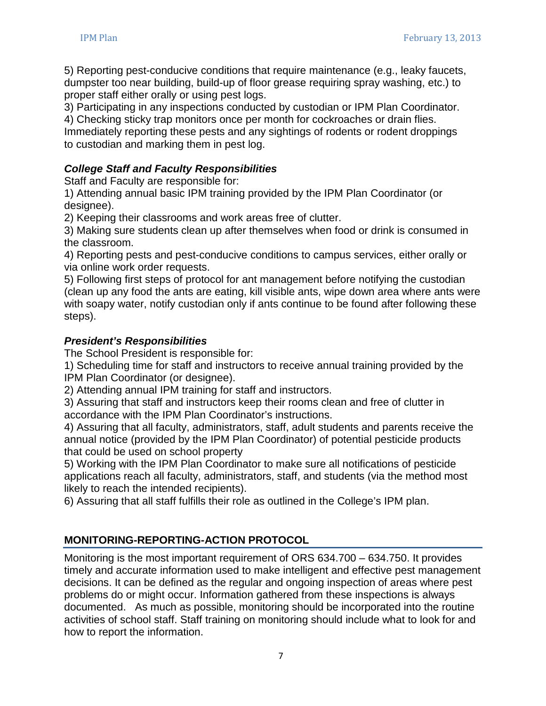5) Reporting pest-conducive conditions that require maintenance (e.g., leaky faucets, dumpster too near building, build-up of floor grease requiring spray washing, etc.) to proper staff either orally or using pest logs.

3) Participating in any inspections conducted by custodian or IPM Plan Coordinator.

4) Checking sticky trap monitors once per month for cockroaches or drain flies.

Immediately reporting these pests and any sightings of rodents or rodent droppings to custodian and marking them in pest log.

## *College Staff and Faculty Responsibilities*

Staff and Faculty are responsible for:

1) Attending annual basic IPM training provided by the IPM Plan Coordinator (or designee).

2) Keeping their classrooms and work areas free of clutter.

3) Making sure students clean up after themselves when food or drink is consumed in the classroom.

4) Reporting pests and pest-conducive conditions to campus services, either orally or via online work order requests.

5) Following first steps of protocol for ant management before notifying the custodian (clean up any food the ants are eating, kill visible ants, wipe down area where ants were with soapy water, notify custodian only if ants continue to be found after following these steps).

#### *President's Responsibilities*

The School President is responsible for:

1) Scheduling time for staff and instructors to receive annual training provided by the IPM Plan Coordinator (or designee).

2) Attending annual IPM training for staff and instructors.

3) Assuring that staff and instructors keep their rooms clean and free of clutter in accordance with the IPM Plan Coordinator's instructions.

4) Assuring that all faculty, administrators, staff, adult students and parents receive the annual notice (provided by the IPM Plan Coordinator) of potential pesticide products that could be used on school property

5) Working with the IPM Plan Coordinator to make sure all notifications of pesticide applications reach all faculty, administrators, staff, and students (via the method most likely to reach the intended recipients).

6) Assuring that all staff fulfills their role as outlined in the College's IPM plan.

## **MONITORING-REPORTING-ACTION PROTOCOL**

Monitoring is the most important requirement of ORS 634.700 – 634.750. It provides timely and accurate information used to make intelligent and effective pest management decisions. It can be defined as the regular and ongoing inspection of areas where pest problems do or might occur. Information gathered from these inspections is always documented. As much as possible, monitoring should be incorporated into the routine activities of school staff. Staff training on monitoring should include what to look for and how to report the information.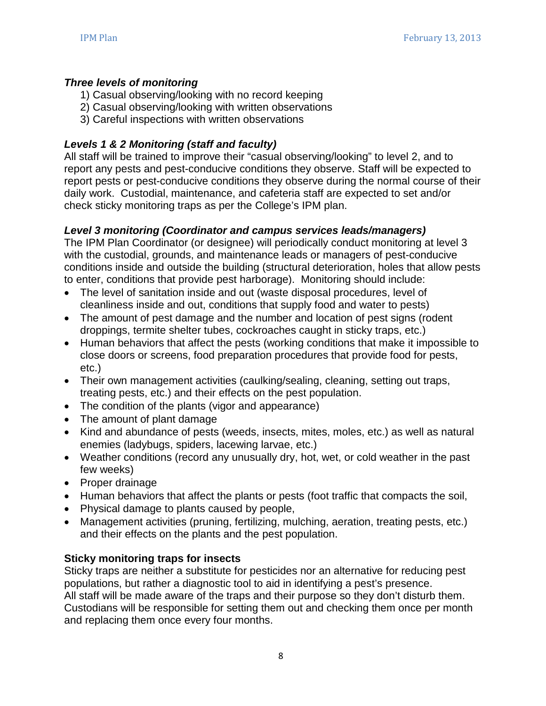#### *Three levels of monitoring*

- 1) Casual observing/looking with no record keeping
- 2) Casual observing/looking with written observations
- 3) Careful inspections with written observations

## *Levels 1 & 2 Monitoring (staff and faculty)*

All staff will be trained to improve their "casual observing/looking" to level 2, and to report any pests and pest-conducive conditions they observe. Staff will be expected to report pests or pest-conducive conditions they observe during the normal course of their daily work. Custodial, maintenance, and cafeteria staff are expected to set and/or check sticky monitoring traps as per the College's IPM plan.

## *Level 3 monitoring (Coordinator and campus services leads/managers)*

The IPM Plan Coordinator (or designee) will periodically conduct monitoring at level 3 with the custodial, grounds, and maintenance leads or managers of pest-conducive conditions inside and outside the building (structural deterioration, holes that allow pests to enter, conditions that provide pest harborage). Monitoring should include:

- The level of sanitation inside and out (waste disposal procedures, level of cleanliness inside and out, conditions that supply food and water to pests)
- The amount of pest damage and the number and location of pest signs (rodent droppings, termite shelter tubes, cockroaches caught in sticky traps, etc.)
- Human behaviors that affect the pests (working conditions that make it impossible to close doors or screens, food preparation procedures that provide food for pests, etc.)
- Their own management activities (caulking/sealing, cleaning, setting out traps, treating pests, etc.) and their effects on the pest population.
- The condition of the plants (vigor and appearance)
- The amount of plant damage
- Kind and abundance of pests (weeds, insects, mites, moles, etc.) as well as natural enemies (ladybugs, spiders, lacewing larvae, etc.)
- Weather conditions (record any unusually dry, hot, wet, or cold weather in the past few weeks)
- Proper drainage
- Human behaviors that affect the plants or pests (foot traffic that compacts the soil,
- Physical damage to plants caused by people,
- Management activities (pruning, fertilizing, mulching, aeration, treating pests, etc.) and their effects on the plants and the pest population.

## **Sticky monitoring traps for insects**

Sticky traps are neither a substitute for pesticides nor an alternative for reducing pest populations, but rather a diagnostic tool to aid in identifying a pest's presence. All staff will be made aware of the traps and their purpose so they don't disturb them. Custodians will be responsible for setting them out and checking them once per month and replacing them once every four months.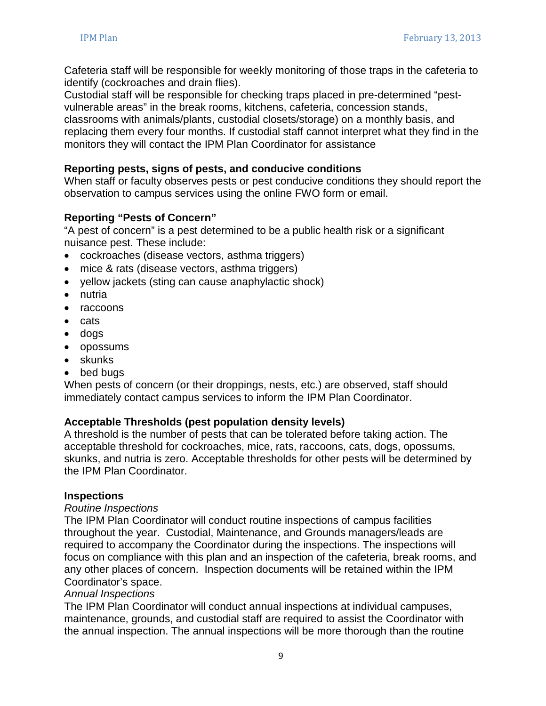Cafeteria staff will be responsible for weekly monitoring of those traps in the cafeteria to identify (cockroaches and drain flies).

Custodial staff will be responsible for checking traps placed in pre-determined "pestvulnerable areas" in the break rooms, kitchens, cafeteria, concession stands, classrooms with animals/plants, custodial closets/storage) on a monthly basis, and replacing them every four months. If custodial staff cannot interpret what they find in the monitors they will contact the IPM Plan Coordinator for assistance

#### **Reporting pests, signs of pests, and conducive conditions**

When staff or faculty observes pests or pest conducive conditions they should report the observation to campus services using the online FWO form or email.

## **Reporting "Pests of Concern"**

"A pest of concern" is a pest determined to be a public health risk or a significant nuisance pest. These include:

- cockroaches (disease vectors, asthma triggers)
- mice & rats (disease vectors, asthma triggers)
- yellow jackets (sting can cause anaphylactic shock)
- nutria
- raccoons
- cats
- dogs
- opossums
- skunks
- bed bugs

When pests of concern (or their droppings, nests, etc.) are observed, staff should immediately contact campus services to inform the IPM Plan Coordinator.

#### **Acceptable Thresholds (pest population density levels)**

A threshold is the number of pests that can be tolerated before taking action. The acceptable threshold for cockroaches, mice, rats, raccoons, cats, dogs, opossums, skunks, and nutria is zero. Acceptable thresholds for other pests will be determined by the IPM Plan Coordinator.

#### **Inspections**

#### *Routine Inspections*

The IPM Plan Coordinator will conduct routine inspections of campus facilities throughout the year. Custodial, Maintenance, and Grounds managers/leads are required to accompany the Coordinator during the inspections. The inspections will focus on compliance with this plan and an inspection of the cafeteria, break rooms, and any other places of concern. Inspection documents will be retained within the IPM Coordinator's space.

#### *Annual Inspections*

The IPM Plan Coordinator will conduct annual inspections at individual campuses, maintenance, grounds, and custodial staff are required to assist the Coordinator with the annual inspection. The annual inspections will be more thorough than the routine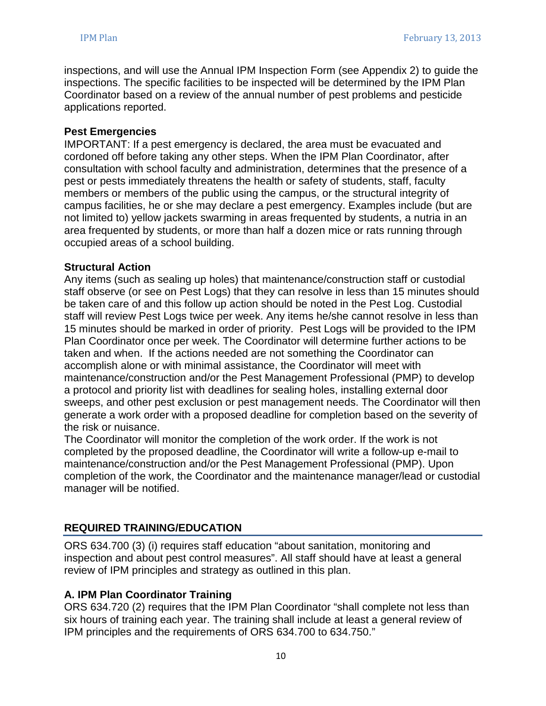inspections, and will use the Annual IPM Inspection Form (see Appendix 2) to guide the inspections. The specific facilities to be inspected will be determined by the IPM Plan Coordinator based on a review of the annual number of pest problems and pesticide applications reported.

#### **Pest Emergencies**

IMPORTANT: If a pest emergency is declared, the area must be evacuated and cordoned off before taking any other steps. When the IPM Plan Coordinator, after consultation with school faculty and administration, determines that the presence of a pest or pests immediately threatens the health or safety of students, staff, faculty members or members of the public using the campus, or the structural integrity of campus facilities, he or she may declare a pest emergency. Examples include (but are not limited to) yellow jackets swarming in areas frequented by students, a nutria in an area frequented by students, or more than half a dozen mice or rats running through occupied areas of a school building.

#### **Structural Action**

Any items (such as sealing up holes) that maintenance/construction staff or custodial staff observe (or see on Pest Logs) that they can resolve in less than 15 minutes should be taken care of and this follow up action should be noted in the Pest Log. Custodial staff will review Pest Logs twice per week. Any items he/she cannot resolve in less than 15 minutes should be marked in order of priority. Pest Logs will be provided to the IPM Plan Coordinator once per week. The Coordinator will determine further actions to be taken and when. If the actions needed are not something the Coordinator can accomplish alone or with minimal assistance, the Coordinator will meet with maintenance/construction and/or the Pest Management Professional (PMP) to develop a protocol and priority list with deadlines for sealing holes, installing external door sweeps, and other pest exclusion or pest management needs. The Coordinator will then generate a work order with a proposed deadline for completion based on the severity of the risk or nuisance.

The Coordinator will monitor the completion of the work order. If the work is not completed by the proposed deadline, the Coordinator will write a follow-up e-mail to maintenance/construction and/or the Pest Management Professional (PMP). Upon completion of the work, the Coordinator and the maintenance manager/lead or custodial manager will be notified.

#### <span id="page-9-0"></span>**REQUIRED TRAINING/EDUCATION**

ORS 634.700 (3) (i) requires staff education "about sanitation, monitoring and inspection and about pest control measures". All staff should have at least a general review of IPM principles and strategy as outlined in this plan.

#### **A. IPM Plan Coordinator Training**

ORS 634.720 (2) requires that the IPM Plan Coordinator "shall complete not less than six hours of training each year. The training shall include at least a general review of IPM principles and the requirements of ORS 634.700 to 634.750."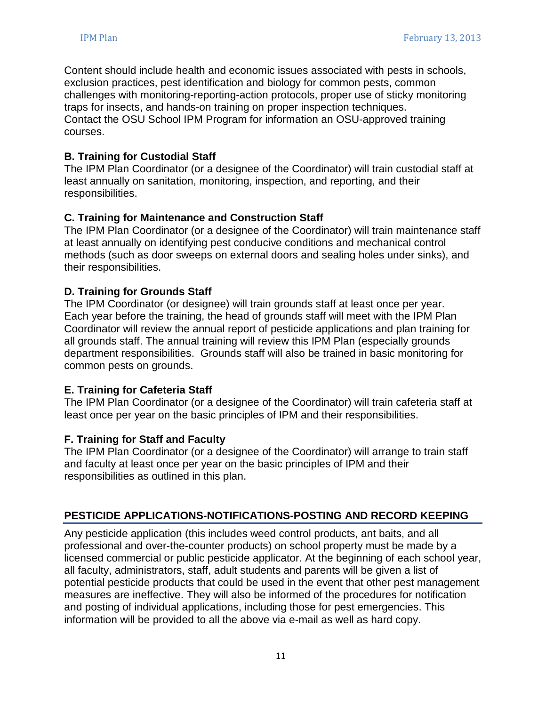Content should include health and economic issues associated with pests in schools, exclusion practices, pest identification and biology for common pests, common challenges with monitoring-reporting-action protocols, proper use of sticky monitoring traps for insects, and hands-on training on proper inspection techniques. Contact the OSU School IPM Program for information an OSU-approved training courses.

#### **B. Training for Custodial Staff**

The IPM Plan Coordinator (or a designee of the Coordinator) will train custodial staff at least annually on sanitation, monitoring, inspection, and reporting, and their responsibilities.

#### **C. Training for Maintenance and Construction Staff**

The IPM Plan Coordinator (or a designee of the Coordinator) will train maintenance staff at least annually on identifying pest conducive conditions and mechanical control methods (such as door sweeps on external doors and sealing holes under sinks), and their responsibilities.

#### **D. Training for Grounds Staff**

The IPM Coordinator (or designee) will train grounds staff at least once per year. Each year before the training, the head of grounds staff will meet with the IPM Plan Coordinator will review the annual report of pesticide applications and plan training for all grounds staff. The annual training will review this IPM Plan (especially grounds department responsibilities. Grounds staff will also be trained in basic monitoring for common pests on grounds.

#### **E. Training for Cafeteria Staff**

The IPM Plan Coordinator (or a designee of the Coordinator) will train cafeteria staff at least once per year on the basic principles of IPM and their responsibilities.

#### **F. Training for Staff and Faculty**

The IPM Plan Coordinator (or a designee of the Coordinator) will arrange to train staff and faculty at least once per year on the basic principles of IPM and their responsibilities as outlined in this plan.

#### <span id="page-10-0"></span>**PESTICIDE APPLICATIONS-NOTIFICATIONS-POSTING AND RECORD KEEPING**

Any pesticide application (this includes weed control products, ant baits, and all professional and over-the-counter products) on school property must be made by a licensed commercial or public pesticide applicator. At the beginning of each school year, all faculty, administrators, staff, adult students and parents will be given a list of potential pesticide products that could be used in the event that other pest management measures are ineffective. They will also be informed of the procedures for notification and posting of individual applications, including those for pest emergencies. This information will be provided to all the above via e-mail as well as hard copy.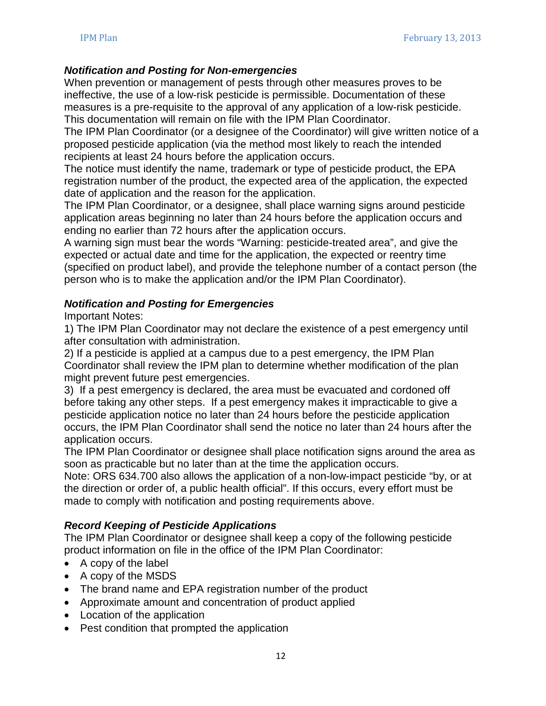#### *Notification and Posting for Non-emergencies*

When prevention or management of pests through other measures proves to be ineffective, the use of a low-risk pesticide is permissible. Documentation of these measures is a pre-requisite to the approval of any application of a low-risk pesticide. This documentation will remain on file with the IPM Plan Coordinator.

The IPM Plan Coordinator (or a designee of the Coordinator) will give written notice of a proposed pesticide application (via the method most likely to reach the intended recipients at least 24 hours before the application occurs.

The notice must identify the name, trademark or type of pesticide product, the EPA registration number of the product, the expected area of the application, the expected date of application and the reason for the application.

The IPM Plan Coordinator, or a designee, shall place warning signs around pesticide application areas beginning no later than 24 hours before the application occurs and ending no earlier than 72 hours after the application occurs.

A warning sign must bear the words "Warning: pesticide-treated area", and give the expected or actual date and time for the application, the expected or reentry time (specified on product label), and provide the telephone number of a contact person (the person who is to make the application and/or the IPM Plan Coordinator).

#### *Notification and Posting for Emergencies*

Important Notes:

1) The IPM Plan Coordinator may not declare the existence of a pest emergency until after consultation with administration.

2) If a pesticide is applied at a campus due to a pest emergency, the IPM Plan Coordinator shall review the IPM plan to determine whether modification of the plan might prevent future pest emergencies.

3) If a pest emergency is declared, the area must be evacuated and cordoned off before taking any other steps. If a pest emergency makes it impracticable to give a pesticide application notice no later than 24 hours before the pesticide application occurs, the IPM Plan Coordinator shall send the notice no later than 24 hours after the application occurs.

The IPM Plan Coordinator or designee shall place notification signs around the area as soon as practicable but no later than at the time the application occurs.

Note: ORS 634.700 also allows the application of a non-low-impact pesticide "by, or at the direction or order of, a public health official". If this occurs, every effort must be made to comply with notification and posting requirements above.

## *Record Keeping of Pesticide Applications*

The IPM Plan Coordinator or designee shall keep a copy of the following pesticide product information on file in the office of the IPM Plan Coordinator:

- A copy of the label
- A copy of the MSDS
- The brand name and EPA registration number of the product
- Approximate amount and concentration of product applied
- Location of the application
- Pest condition that prompted the application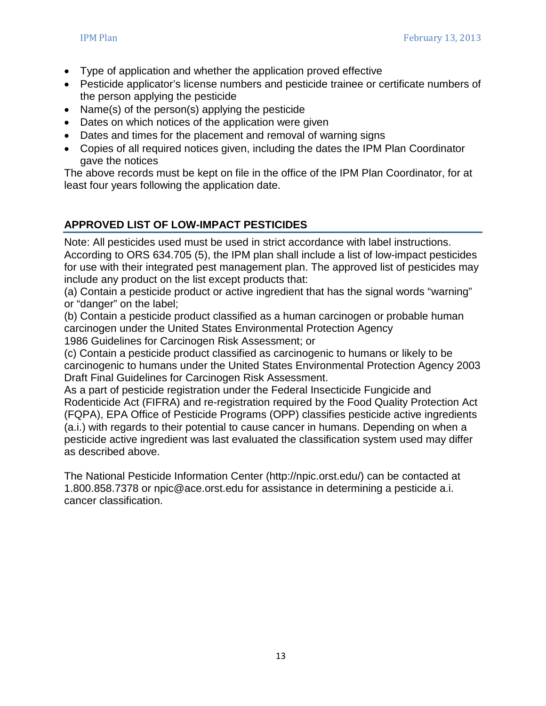- Type of application and whether the application proved effective
- Pesticide applicator's license numbers and pesticide trainee or certificate numbers of the person applying the pesticide
- Name(s) of the person(s) applying the pesticide
- Dates on which notices of the application were given
- Dates and times for the placement and removal of warning signs
- Copies of all required notices given, including the dates the IPM Plan Coordinator gave the notices

The above records must be kept on file in the office of the IPM Plan Coordinator, for at least four years following the application date.

# **APPROVED LIST OF LOW-IMPACT PESTICIDES**

Note: All pesticides used must be used in strict accordance with label instructions. According to ORS 634.705 (5), the IPM plan shall include a list of low-impact pesticides for use with their integrated pest management plan. The approved list of pesticides may include any product on the list except products that:

(a) Contain a pesticide product or active ingredient that has the signal words "warning" or "danger" on the label;

(b) Contain a pesticide product classified as a human carcinogen or probable human carcinogen under the United States Environmental Protection Agency 1986 Guidelines for Carcinogen Risk Assessment; or

(c) Contain a pesticide product classified as carcinogenic to humans or likely to be carcinogenic to humans under the United States Environmental Protection Agency 2003 Draft Final Guidelines for Carcinogen Risk Assessment.

As a part of pesticide registration under the Federal Insecticide Fungicide and Rodenticide Act (FIFRA) and re-registration required by the Food Quality Protection Act (FQPA), EPA Office of Pesticide Programs (OPP) classifies pesticide active ingredients (a.i.) with regards to their potential to cause cancer in humans. Depending on when a pesticide active ingredient was last evaluated the classification system used may differ as described above.

<span id="page-12-0"></span>The National Pesticide Information Center (http://npic.orst.edu/) can be contacted at 1.800.858.7378 or npic@ace.orst.edu for assistance in determining a pesticide a.i. cancer classification.